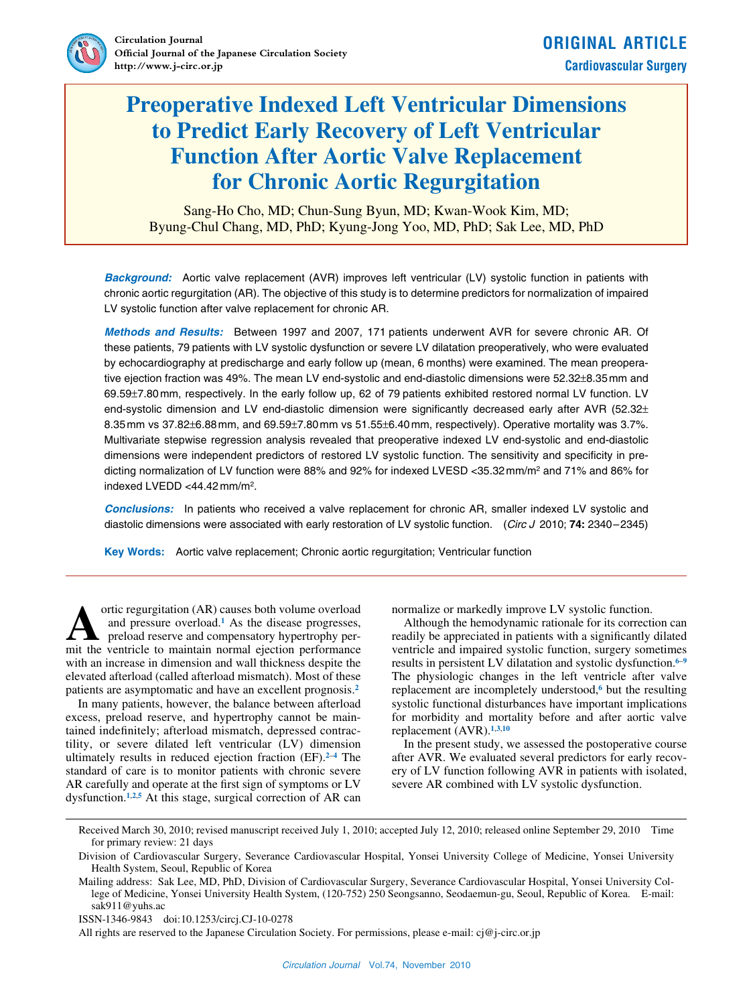

# **Preoperative Indexed Left Ventricular Dimensions to Predict Early Recovery of Left Ventricular Function After Aortic Valve Replacement for Chronic Aortic Regurgitation**

Sang-Ho Cho, MD; Chun-Sung Byun, MD; Kwan-Wook Kim, MD; Byung-Chul Chang, MD, PhD; Kyung-Jong Yoo, MD, PhD; Sak Lee, MD, PhD

*Background:* Aortic valve replacement (AVR) improves left ventricular (LV) systolic function in patients with chronic aortic regurgitation (AR). The objective of this study is to determine predictors for normalization of impaired LV systolic function after valve replacement for chronic AR.

*Methods and Results:* Between 1997 and 2007, 171 patients underwent AVR for severe chronic AR. Of these patients, 79 patients with LV systolic dysfunction or severe LV dilatation preoperatively, who were evaluated by echocardiography at predischarge and early follow up (mean, 6 months) were examined. The mean preoperative ejection fraction was 49%. The mean LV end-systolic and end-diastolic dimensions were 52.32±8.35mm and 69.59±7.80mm, respectively. In the early follow up, 62 of 79 patients exhibited restored normal LV function. LV end-systolic dimension and LV end-diastolic dimension were significantly decreased early after AVR (52.32± 8.35mm vs 37.82±6.88mm, and 69.59±7.80mm vs 51.55±6.40mm, respectively). Operative mortality was 3.7%. Multivariate stepwise regression analysis revealed that preoperative indexed LV end-systolic and end-diastolic dimensions were independent predictors of restored LV systolic function. The sensitivity and specificity in predicting normalization of LV function were 88% and 92% for indexed LVESD <35.32mm/m2 and 71% and 86% for indexed LVEDD <44.42mm/m2.

*Conclusions:* In patients who received a valve replacement for chronic AR, smaller indexed LV systolic and diastolic dimensions were associated with early restoration of LV systolic function. (*Circ J* 2010; **74:** 2340–2345)

**Key Words:** Aortic valve replacement; Chronic aortic regurgitation; Ventricular function

ortic regurgitation (AR) causes both volume overload and pressure overload.**1** As the disease progresses, preload reserve and compensatory hypertrophy perortic regurgitation (AR) causes both volume overload and pressure overload.<sup>1</sup> As the disease progresses, preload reserve and compensatory hypertrophy permit the ventricle to maintain normal ejection performance with an increase in dimension and wall thickness despite the elevated afterload (called afterload mismatch). Most of these patients are asymptomatic and have an excellent prognosis.**<sup>2</sup>**

In many patients, however, the balance between afterload excess, preload reserve, and hypertrophy cannot be maintained indefinitely; afterload mismatch, depressed contractility, or severe dilated left ventricular (LV) dimension ultimately results in reduced ejection fraction (EF).**<sup>2</sup>**–**<sup>4</sup>** The standard of care is to monitor patients with chronic severe AR carefully and operate at the first sign of symptoms or LV dysfunction.**<sup>1</sup>**,**2**,**<sup>5</sup>** At this stage, surgical correction of AR can normalize or markedly improve LV systolic function.

Although the hemodynamic rationale for its correction can readily be appreciated in patients with a significantly dilated ventricle and impaired systolic function, surgery sometimes results in persistent LV dilatation and systolic dysfunction.**<sup>6</sup>**–**<sup>9</sup>** The physiologic changes in the left ventricle after valve replacement are incompletely understood,**6** but the resulting systolic functional disturbances have important implications for morbidity and mortality before and after aortic valve replacement (AVR).**<sup>1</sup>**,**3**,**<sup>10</sup>**

In the present study, we assessed the postoperative course after AVR. We evaluated several predictors for early recovery of LV function following AVR in patients with isolated, severe AR combined with LV systolic dysfunction.

All rights are reserved to the Japanese Circulation Society. For permissions, please e-mail: cj@j-circ.or.jp

Received March 30, 2010; revised manuscript received July 1, 2010; accepted July 12, 2010; released online September 29, 2010 Time for primary review: 21 days

Division of Cardiovascular Surgery, Severance Cardiovascular Hospital, Yonsei University College of Medicine, Yonsei University Health System, Seoul, Republic of Korea

Mailing address: Sak Lee, MD, PhD, Division of Cardiovascular Surgery, Severance Cardiovascular Hospital, Yonsei University College of Medicine, Yonsei University Health System, (120-752) 250 Seongsanno, Seodaemun-gu, Seoul, Republic of Korea. E-mail: sak911@yuhs.ac

ISSN-1346-9843 doi:10.1253/circj.CJ-10-0278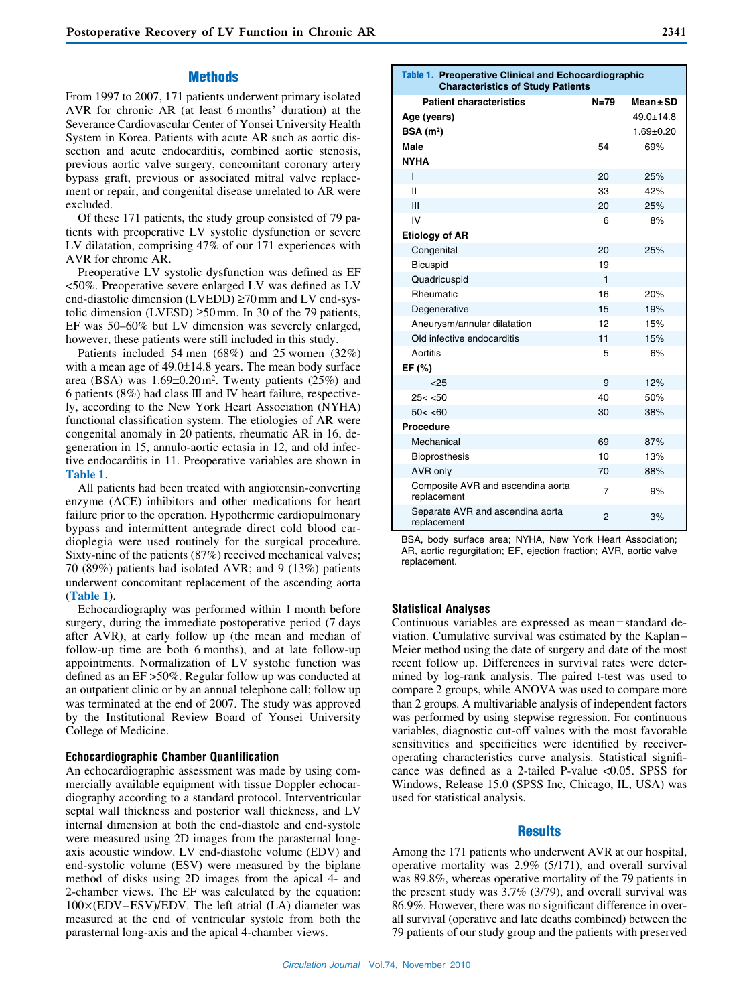## **Methods**

From 1997 to 2007, 171 patients underwent primary isolated AVR for chronic AR (at least 6 months' duration) at the Severance Cardiovascular Center of Yonsei University Health System in Korea. Patients with acute AR such as aortic dissection and acute endocarditis, combined aortic stenosis, previous aortic valve surgery, concomitant coronary artery bypass graft, previous or associated mitral valve replacement or repair, and congenital disease unrelated to AR were excluded.

Of these 171 patients, the study group consisted of 79 patients with preoperative LV systolic dysfunction or severe LV dilatation, comprising 47% of our 171 experiences with AVR for chronic AR.

Preoperative LV systolic dysfunction was defined as EF <50%. Preoperative severe enlarged LV was defined as LV end-diastolic dimension (LVEDD) ≥70mm and LV end-systolic dimension (LVESD) ≥50mm. In 30 of the 79 patients, EF was 50–60% but LV dimension was severely enlarged, however, these patients were still included in this study.

Patients included 54 men (68%) and 25 women (32%) with a mean age of 49.0±14.8 years. The mean body surface area (BSA) was  $1.69\pm0.20$  m<sup>2</sup>. Twenty patients (25%) and 6 patients (8%) had class III and IV heart failure, respectively, according to the New York Heart Association (NYHA) functional classification system. The etiologies of AR were congenital anomaly in 20 patients, rheumatic AR in 16, degeneration in 15, annulo-aortic ectasia in 12, and old infective endocarditis in 11. Preoperative variables are shown in **Table 1**.

All patients had been treated with angiotensin-converting enzyme (ACE) inhibitors and other medications for heart failure prior to the operation. Hypothermic cardiopulmonary bypass and intermittent antegrade direct cold blood cardioplegia were used routinely for the surgical procedure. Sixty-nine of the patients (87%) received mechanical valves; 70 (89%) patients had isolated AVR; and 9 (13%) patients underwent concomitant replacement of the ascending aorta (**Table 1**).

Echocardiography was performed within 1 month before surgery, during the immediate postoperative period (7 days after AVR), at early follow up (the mean and median of follow-up time are both 6 months), and at late follow-up appointments. Normalization of LV systolic function was defined as an EF >50%. Regular follow up was conducted at an outpatient clinic or by an annual telephone call; follow up was terminated at the end of 2007. The study was approved by the Institutional Review Board of Yonsei University College of Medicine.

# **Echocardiographic Chamber Quantification**

An echocardiographic assessment was made by using commercially available equipment with tissue Doppler echocardiography according to a standard protocol. Interventricular septal wall thickness and posterior wall thickness, and LV internal dimension at both the end-diastole and end-systole were measured using 2D images from the parasternal longaxis acoustic window. LV end-diastolic volume (EDV) and end-systolic volume (ESV) were measured by the biplane method of disks using 2D images from the apical 4- and 2-chamber views. The EF was calculated by the equation: 100×(EDV–ESV)/EDV. The left atrial (LA) diameter was measured at the end of ventricular systole from both the parasternal long-axis and the apical 4-chamber views.

| Age (years)                 |    | $49.0 + 14.8$ |
|-----------------------------|----|---------------|
| BSA(m <sup>2</sup> )        |    | $1.69 + 0.20$ |
| Male                        | 54 | 69%           |
| <b>NYHA</b>                 |    |               |
| I                           | 20 | 25%           |
| $\mathsf{II}$               | 33 | 42%           |
| III                         | 20 | 25%           |
| IV                          | 6  | 8%            |
| <b>Etiology of AR</b>       |    |               |
| Congenital                  | 20 | 25%           |
| Bicuspid                    | 19 |               |
| Quadricuspid                | 1  |               |
| Rheumatic                   | 16 | 20%           |
| Degenerative                | 15 | 19%           |
| Aneurysm/annular dilatation | 12 | 15%           |
| Old infective endocarditis  | 11 | 15%           |
| Aortitis                    | 5  | 6%            |
| EF (%)                      |    |               |
| $25$                        | 9  | 12%           |
| 25 < 50                     | 40 | 50%           |
| 50 < 60                     | 30 | 38%           |
| <b>Procedure</b>            |    |               |
| Mechanical                  | 69 | 87%           |
|                             |    |               |

Table 1. **Preoperative Clinical and Echocardiographic Characteristics of Study Patients**

**Patient characteristics N=79 Mean±SD**

BSA, body surface area; NYHA, New York Heart Association; AR, aortic regurgitation; EF, ejection fraction; AVR, aortic valve replacement.

Bioprosthesis 10 13% AVR only 10 and 20 and 20 and 20 and 20 and 20 and 20 and 20 and 20 and 20 and 20 and 20 and 20 and 20 and 20 Composite AVR and ascendina aorta *amer* and the pays<br>
replacement Separate AVR and ascendina aorta replacement <sup>2</sup> 3%

#### **Statistical Analyses**

Continuous variables are expressed as mean±standard deviation. Cumulative survival was estimated by the Kaplan– Meier method using the date of surgery and date of the most recent follow up. Differences in survival rates were determined by log-rank analysis. The paired t-test was used to compare 2 groups, while ANOVA was used to compare more than 2 groups. A multivariable analysis of independent factors was performed by using stepwise regression. For continuous variables, diagnostic cut-off values with the most favorable sensitivities and specificities were identified by receiveroperating characteristics curve analysis. Statistical significance was defined as a 2-tailed P-value <0.05. SPSS for Windows, Release 15.0 (SPSS Inc, Chicago, IL, USA) was used for statistical analysis.

# **Results**

Among the 171 patients who underwent AVR at our hospital, operative mortality was 2.9% (5/171), and overall survival was 89.8%, whereas operative mortality of the 79 patients in the present study was 3.7% (3/79), and overall survival was 86.9%. However, there was no significant difference in overall survival (operative and late deaths combined) between the 79 patients of our study group and the patients with preserved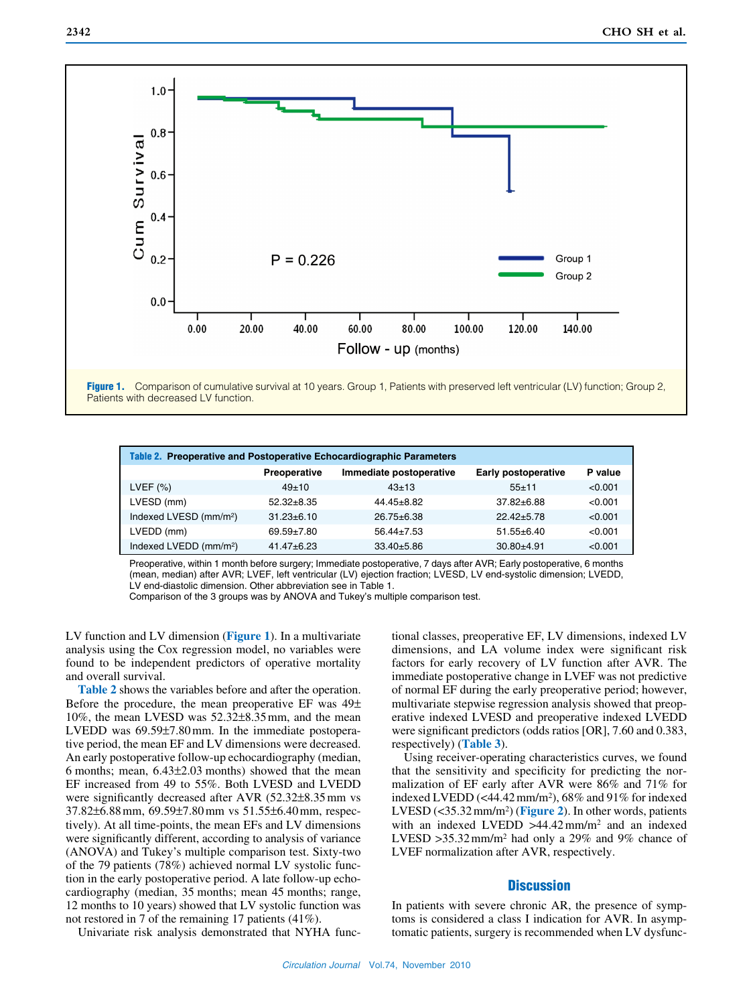

Figure 1. Comparison of cumulative survival at 10 years. Group 1, Patients with preserved left ventricular (LV) function; Group 2, Patients with decreased LV function.

| Table 2. Preoperative and Postoperative Echocardiographic Parameters |                  |                         |                            |         |  |  |  |
|----------------------------------------------------------------------|------------------|-------------------------|----------------------------|---------|--|--|--|
|                                                                      | Preoperative     | Immediate postoperative | <b>Early postoperative</b> | P value |  |  |  |
| LVEF $(%)$                                                           | $49+10$          | $43+13$                 | $55 + 11$                  | < 0.001 |  |  |  |
| LVESD (mm)                                                           | $52.32 + 8.35$   | $44.45 \pm 8.82$        | $37.82 \pm 6.88$           | < 0.001 |  |  |  |
| Indexed LVESD (mm/m <sup>2</sup> )                                   | $31.23 \pm 6.10$ | $26.75 \pm 6.38$        | $22.42 + 5.78$             | < 0.001 |  |  |  |
| LVEDD (mm)                                                           | $69.59 + 7.80$   | $56.44 \pm 7.53$        | $51.55 \pm 6.40$           | < 0.001 |  |  |  |
| Indexed LVEDD (mm/m <sup>2</sup> )                                   | $41.47 \pm 6.23$ | $33.40 \pm 5.86$        | $30.80 + 4.91$             | < 0.001 |  |  |  |

Preoperative, within 1 month before surgery; Immediate postoperative, 7 days after AVR; Early postoperative, 6 months (mean, median) after AVR; LVEF, left ventricular (LV) ejection fraction; LVESD, LV end-systolic dimension; LVEDD, LV end-diastolic dimension. Other abbreviation see in Table 1.

Comparison of the 3 groups was by ANOVA and Tukey's multiple comparison test.

LV function and LV dimension (**Figure 1**). In a multivariate analysis using the Cox regression model, no variables were found to be independent predictors of operative mortality and overall survival.

**Table 2** shows the variables before and after the operation. Before the procedure, the mean preoperative EF was 49± 10%, the mean LVESD was 52.32±8.35mm, and the mean LVEDD was 69.59±7.80mm. In the immediate postoperative period, the mean EF and LV dimensions were decreased. An early postoperative follow-up echocardiography (median, 6 months; mean, 6.43±2.03 months) showed that the mean EF increased from 49 to 55%. Both LVESD and LVEDD were significantly decreased after AVR (52.32±8.35mm vs 37.82±6.88mm, 69.59±7.80mm vs 51.55±6.40mm, respectively). At all time-points, the mean EFs and LV dimensions were significantly different, according to analysis of variance (ANOVA) and Tukey's multiple comparison test. Sixty-two of the 79 patients (78%) achieved normal LV systolic function in the early postoperative period. A late follow-up echocardiography (median, 35 months; mean 45 months; range, 12 months to 10 years) showed that LV systolic function was not restored in 7 of the remaining 17 patients (41%).

tional classes, preoperative EF, LV dimensions, indexed LV dimensions, and LA volume index were significant risk factors for early recovery of LV function after AVR. The immediate postoperative change in LVEF was not predictive of normal EF during the early preoperative period; however, multivariate stepwise regression analysis showed that preoperative indexed LVESD and preoperative indexed LVEDD were significant predictors (odds ratios [OR], 7.60 and 0.383, respectively) (**Table 3**).

Using receiver-operating characteristics curves, we found that the sensitivity and specificity for predicting the normalization of EF early after AVR were 86% and 71% for indexed LVEDD (<44.42mm/m2), 68% and 91% for indexed LVESD (<35.32mm/m2) (**Figure 2**). In other words, patients with an indexed LVEDD >44.42mm/m2 and an indexed LVESD >35.32 mm/m<sup>2</sup> had only a 29% and 9% chance of LVEF normalization after AVR, respectively.

# **Discussion**

In patients with severe chronic AR, the presence of symptoms is considered a class I indication for AVR. In asymptomatic patients, surgery is recommended when LV dysfunc-

Univariate risk analysis demonstrated that NYHA func-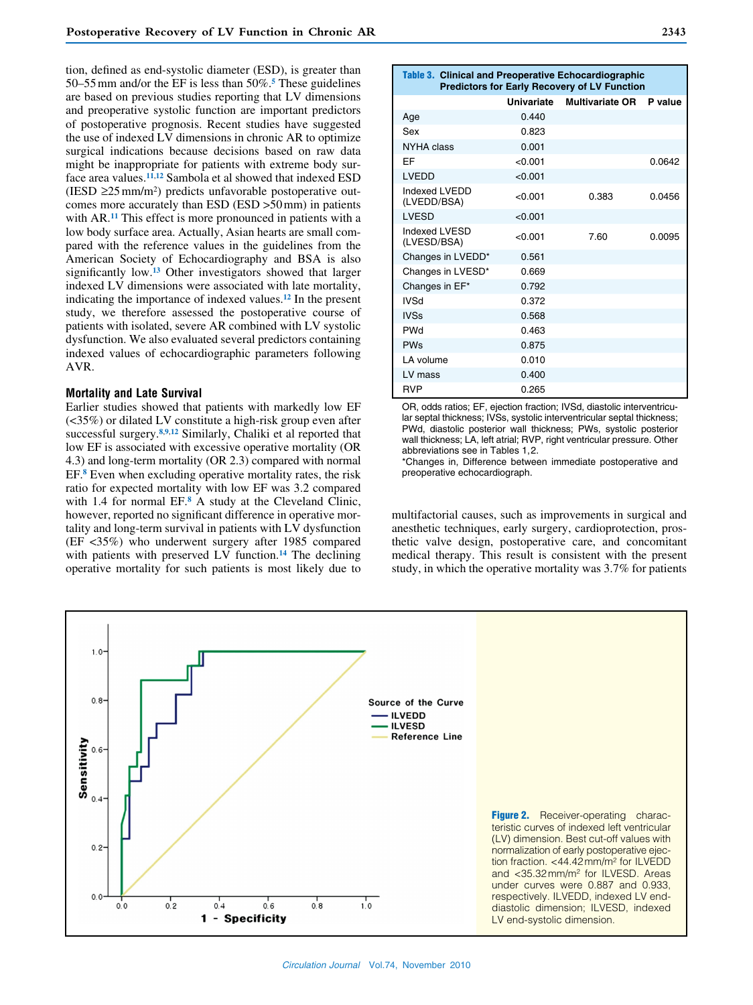tion, defined as end-systolic diameter (ESD), is greater than 50–55mm and/or the EF is less than 50%.**5** These guidelines are based on previous studies reporting that LV dimensions and preoperative systolic function are important predictors of postoperative prognosis. Recent studies have suggested the use of indexed LV dimensions in chronic AR to optimize surgical indications because decisions based on raw data might be inappropriate for patients with extreme body surface area values.**<sup>11</sup>**,**<sup>12</sup>** Sambola et al showed that indexed ESD (IESD  $\geq$ 25 mm/m<sup>2</sup>) predicts unfavorable postoperative outcomes more accurately than ESD (ESD >50mm) in patients with AR.**11** This effect is more pronounced in patients with a low body surface area. Actually, Asian hearts are small compared with the reference values in the guidelines from the American Society of Echocardiography and BSA is also significantly low.**13** Other investigators showed that larger indexed LV dimensions were associated with late mortality, indicating the importance of indexed values.**12** In the present study, we therefore assessed the postoperative course of patients with isolated, severe AR combined with LV systolic dysfunction. We also evaluated several predictors containing indexed values of echocardiographic parameters following AVR.

#### **Mortality and Late Survival**

Earlier studies showed that patients with markedly low EF (<35%) or dilated LV constitute a high-risk group even after successful surgery.**<sup>8</sup>**,**9**,**<sup>12</sup>** Similarly, Chaliki et al reported that low EF is associated with excessive operative mortality (OR 4.3) and long-term mortality (OR 2.3) compared with normal EF.**8** Even when excluding operative mortality rates, the risk ratio for expected mortality with low EF was 3.2 compared with 1.4 for normal EF.**8** A study at the Cleveland Clinic, however, reported no significant difference in operative mortality and long-term survival in patients with LV dysfunction (EF <35%) who underwent surgery after 1985 compared with patients with preserved LV function.**14** The declining operative mortality for such patients is most likely due to

| Table 3. Clinical and Preoperative Echocardiographic<br><b>Predictors for Early Recovery of LV Function</b> |            |                        |         |  |  |  |
|-------------------------------------------------------------------------------------------------------------|------------|------------------------|---------|--|--|--|
|                                                                                                             | Univariate | <b>Multivariate OR</b> | P value |  |  |  |
| Age                                                                                                         | 0.440      |                        |         |  |  |  |
| Sex                                                                                                         | 0.823      |                        |         |  |  |  |
| NYHA class                                                                                                  | 0.001      |                        |         |  |  |  |
| EF                                                                                                          | < 0.001    |                        | 0.0642  |  |  |  |
| <b>LVEDD</b>                                                                                                | < 0.001    |                        |         |  |  |  |
| Indexed I VEDD<br>(LVEDD/BSA)                                                                               | < 0.001    | 0.383                  | 0.0456  |  |  |  |
| <b>LVESD</b>                                                                                                | < 0.001    |                        |         |  |  |  |
| Indexed LVESD<br>(LVESD/BSA)                                                                                | < 0.001    | 7.60                   | 0.0095  |  |  |  |
| Changes in LVEDD*                                                                                           | 0.561      |                        |         |  |  |  |
| Changes in LVESD*                                                                                           | 0.669      |                        |         |  |  |  |
| Changes in EF*                                                                                              | 0.792      |                        |         |  |  |  |
| <b>IVSd</b>                                                                                                 | 0.372      |                        |         |  |  |  |
| <b>IVSs</b>                                                                                                 | 0.568      |                        |         |  |  |  |
| <b>PWd</b>                                                                                                  | 0.463      |                        |         |  |  |  |
| <b>PWs</b>                                                                                                  | 0.875      |                        |         |  |  |  |
| LA volume                                                                                                   | 0.010      |                        |         |  |  |  |
| LV mass                                                                                                     | 0.400      |                        |         |  |  |  |
| <b>RVP</b>                                                                                                  | 0.265      |                        |         |  |  |  |

OR, odds ratios; EF, ejection fraction; IVSd, diastolic interventricular septal thickness; IVSs, systolic interventricular septal thickness; PWd, diastolic posterior wall thickness; PWs, systolic posterior wall thickness; LA, left atrial; RVP, right ventricular pressure. Other abbreviations see in Tables 1,2.

\*Changes in, Difference between immediate postoperative and preoperative echocardiograph.

multifactorial causes, such as improvements in surgical and anesthetic techniques, early surgery, cardioprotection, prosthetic valve design, postoperative care, and concomitant medical therapy. This result is consistent with the present study, in which the operative mortality was 3.7% for patients

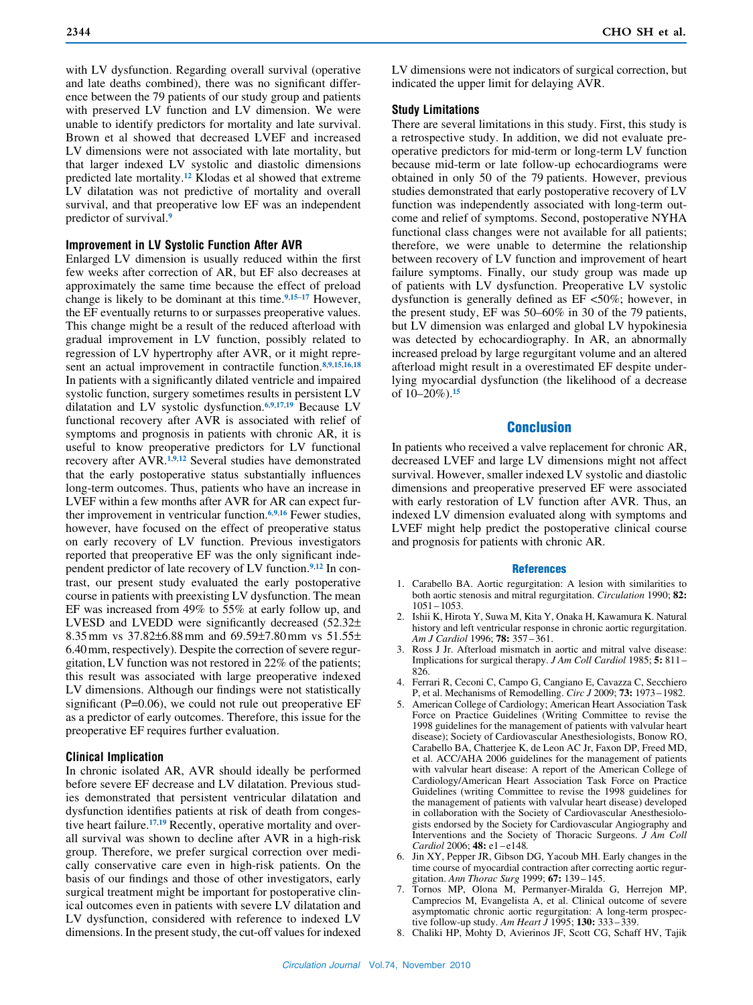with LV dysfunction. Regarding overall survival (operative and late deaths combined), there was no significant difference between the 79 patients of our study group and patients with preserved LV function and LV dimension. We were unable to identify predictors for mortality and late survival. Brown et al showed that decreased LVEF and increased LV dimensions were not associated with late mortality, but that larger indexed LV systolic and diastolic dimensions predicted late mortality.**12** Klodas et al showed that extreme LV dilatation was not predictive of mortality and overall survival, and that preoperative low EF was an independent predictor of survival.**<sup>9</sup>**

### **Improvement in LV Systolic Function After AVR**

Enlarged LV dimension is usually reduced within the first few weeks after correction of AR, but EF also decreases at approximately the same time because the effect of preload change is likely to be dominant at this time.**<sup>9</sup>**,**15**–**<sup>17</sup>** However, the EF eventually returns to or surpasses preoperative values. This change might be a result of the reduced afterload with gradual improvement in LV function, possibly related to regression of LV hypertrophy after AVR, or it might represent an actual improvement in contractile function.**<sup>8</sup>**,**9**,**15**,**16**,**<sup>18</sup>** In patients with a significantly dilated ventricle and impaired systolic function, surgery sometimes results in persistent LV dilatation and LV systolic dysfunction.**<sup>6</sup>**,**9**,**17**,**<sup>19</sup>** Because LV functional recovery after AVR is associated with relief of symptoms and prognosis in patients with chronic AR, it is useful to know preoperative predictors for LV functional recovery after AVR.**<sup>1</sup>**,**9**,**<sup>12</sup>** Several studies have demonstrated that the early postoperative status substantially influences long-term outcomes. Thus, patients who have an increase in LVEF within a few months after AVR for AR can expect further improvement in ventricular function.**<sup>6</sup>**,**9**,**<sup>16</sup>** Fewer studies, however, have focused on the effect of preoperative status on early recovery of LV function. Previous investigators reported that preoperative EF was the only significant independent predictor of late recovery of LV function.**9**,**12** In contrast, our present study evaluated the early postoperative course in patients with preexisting LV dysfunction. The mean EF was increased from 49% to 55% at early follow up, and LVESD and LVEDD were significantly decreased (52.32± 8.35mm vs 37.82±6.88mm and 69.59±7.80mm vs 51.55± 6.40mm, respectively). Despite the correction of severe regurgitation, LV function was not restored in 22% of the patients; this result was associated with large preoperative indexed LV dimensions. Although our findings were not statistically significant (P=0.06), we could not rule out preoperative EF as a predictor of early outcomes. Therefore, this issue for the preoperative EF requires further evaluation.

#### **Clinical Implication**

In chronic isolated AR, AVR should ideally be performed before severe EF decrease and LV dilatation. Previous studies demonstrated that persistent ventricular dilatation and dysfunction identifies patients at risk of death from congestive heart failure.**17**,**19** Recently, operative mortality and overall survival was shown to decline after AVR in a high-risk group. Therefore, we prefer surgical correction over medically conservative care even in high-risk patients. On the basis of our findings and those of other investigators, early surgical treatment might be important for postoperative clinical outcomes even in patients with severe LV dilatation and LV dysfunction, considered with reference to indexed LV dimensions. In the present study, the cut-off values for indexed LV dimensions were not indicators of surgical correction, but indicated the upper limit for delaying AVR.

## **Study Limitations**

There are several limitations in this study. First, this study is a retrospective study. In addition, we did not evaluate preoperative predictors for mid-term or long-term LV function because mid-term or late follow-up echocardiograms were obtained in only 50 of the 79 patients. However, previous studies demonstrated that early postoperative recovery of LV function was independently associated with long-term outcome and relief of symptoms. Second, postoperative NYHA functional class changes were not available for all patients; therefore, we were unable to determine the relationship between recovery of LV function and improvement of heart failure symptoms. Finally, our study group was made up of patients with LV dysfunction. Preoperative LV systolic dysfunction is generally defined as EF <50%; however, in the present study, EF was 50–60% in 30 of the 79 patients, but LV dimension was enlarged and global LV hypokinesia was detected by echocardiography. In AR, an abnormally increased preload by large regurgitant volume and an altered afterload might result in a overestimated EF despite underlying myocardial dysfunction (the likelihood of a decrease of 10–20%).**<sup>15</sup>**

## Conclusion

In patients who received a valve replacement for chronic AR, decreased LVEF and large LV dimensions might not affect survival. However, smaller indexed LV systolic and diastolic dimensions and preoperative preserved EF were associated with early restoration of LV function after AVR. Thus, an indexed LV dimension evaluated along with symptoms and LVEF might help predict the postoperative clinical course and prognosis for patients with chronic AR.

#### References

- 1. Carabello BA. Aortic regurgitation: A lesion with similarities to both aortic stenosis and mitral regurgitation. *Circulation* 1990; **82:** 1051–1053.
- 2. Ishii K, Hirota Y, Suwa M, Kita Y, Onaka H, Kawamura K. Natural history and left ventricular response in chronic aortic regurgitation. *Am J Cardiol* 1996; **78:** 357–361.
- 3. Ross J Jr. Afterload mismatch in aortic and mitral valve disease: Implications for surgical therapy. *J Am Coll Cardiol* 1985; **5:** 811 – 826.
- 4. Ferrari R, Ceconi C, Campo G, Cangiano E, Cavazza C, Secchiero P, et al. Mechanisms of Remodelling. *Circ J* 2009; **73:** 1973–1982.
- 5. American College of Cardiology; American Heart Association Task Force on Practice Guidelines (Writing Committee to revise the 1998 guidelines for the management of patients with valvular heart disease); Society of Cardiovascular Anesthesiologists, Bonow RO, Carabello BA, Chatterjee K, de Leon AC Jr, Faxon DP, Freed MD, et al. ACC/AHA 2006 guidelines for the management of patients with valvular heart disease: A report of the American College of Cardiology/American Heart Association Task Force on Practice Guidelines (writing Committee to revise the 1998 guidelines for the management of patients with valvular heart disease) developed in collaboration with the Society of Cardiovascular Anesthesiologists endorsed by the Society for Cardiovascular Angiography and Interventions and the Society of Thoracic Surgeons. *J Am Coll Cardiol* 2006; **48:** e1 –e148*.*
- 6. Jin XY, Pepper JR, Gibson DG, Yacoub MH. Early changes in the time course of myocardial contraction after correcting aortic regurgitation. *Ann Thorac Surg* 1999; **67:** 139–145.
- 7. Tornos MP, Olona M, Permanyer-Miralda G, Herrejon MP, Camprecios M, Evangelista A, et al. Clinical outcome of severe asymptomatic chronic aortic regurgitation: A long-term prospective follow-up study. *Am Heart J* 1995; **130:** 333–339.
- 8. Chaliki HP, Mohty D, Avierinos JF, Scott CG, Schaff HV, Tajik